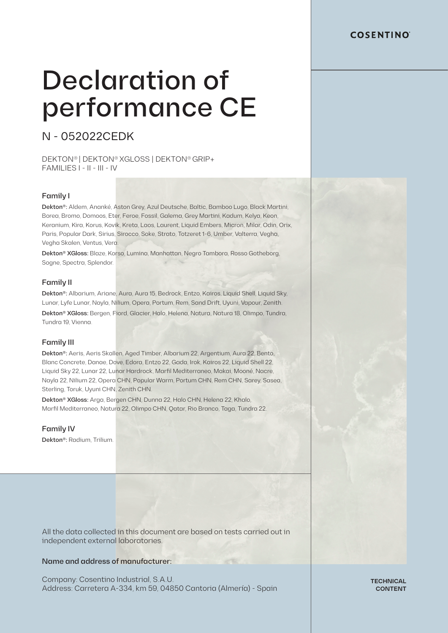### **COSENTINO**

# Declaration of performance CE

# N - 052022CEDK

DEKTON® | DEKTON®XGLOSS | DEKTON®GRIP+ FAMILIES I - II - III - IV

#### Family I

Dekton®: Aldem, Ananké, Aston Grey, Azul Deutsche, Baltic, Bamboo Lugo, Black Martini, Borea, Bromo, Domoos, Eter, Feroe, Fossil, Galema, Grey Martini, Kadum, Kelya, Keon, Keranium, Kira, Korus, Kovik, Kreta, Laos, Laurent, Liquid Embers, Micron, Milar, Odin, Orix, Paris, Popular Dark, Sirius, Sirocco, Soke, Strato, Totzeret 1-6, Umber, Valterra, Vegha, Vegha Skalen, Ventus, Vera.

Dekton® XGloss: Blaze, Korso, Lumina, Manhattan, Negro Tambora, Rosso Gotheborg, Sogne, Spectra, Splendor.

#### Family II

Dekton®: Albarium, Ariane, Aura, Aura 15, Bedrock, Entzo, Kairos, Liquid Shell, Liquid Sky, Lunar, Lyfe Lunar, Nayla, Nilium, Opera, Portum, Rem, Sand Drift, Uyuni, Vapour, Zenith. Dekton® XGloss: Bergen, Fiord, Glacier, Halo, Helena, Natura, Natura 18, Olimpo, Tundra, Tundra 19, Vienna.

#### Family III

Dekton®: Aeris, Aeris Skallen, Aged Timber, Albarium 22, Argentium, Aura 22, Bento, Blanc Concrete, Danae, Dove, Edora, Entzo 22, Gada, Irok, Kairos 22, Liquid Shell 22, Liquid Sky 22, Lunar 22, Lunar Hardrock, Marfil Mediterraneo, Makai, Mooné, Nacre, Nayla 22, Nilium 22, Opera CHN, Popular Warm, Portum CHN, Rem CHN, Sarey, Sasea, Sterling, Toruk, Uyuni CHN, Zenith CHN.

Dekton® XGloss: Arga, Bergen CHN, Dunna 22, Halo CHN, Helena 22, Khalo, Marfil Mediterraneo, Natura 22, Olimpo CHN, Qatar, Rio Branco, Taga, Tundra 22.

#### Family IV

Dekton®: Radium, Trilium.

All the data collected in this document are based on tests carried out in independent external laboratories.

#### Name and address of manufacturer:

Company: Cosentino Industrial, S.A.U. Address: Carretera A-334, km 59, 04850 Cantoria (Almería) - Spain

**TECHNICAL CONTENT**